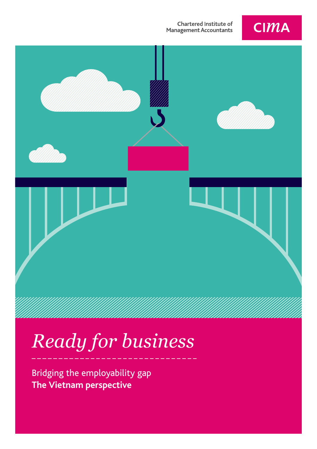#### **Chartered Institute of Management Accountants**

## **CIMA**



Bridging the employability gap **The Vietnam perspective**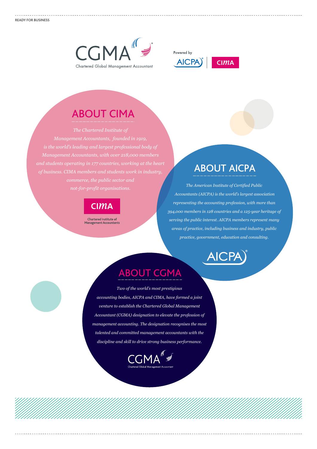

Powered by





### ABOUT CIMA



**Chartered Institute of Management Accountants** 

**Chartered Institute of ManagementAccountants**

### ABOUT AICPA

*The American Institute of Certified Public Accountants (AICPA) is the world's largest association representing the accounting profession, with more than 394,000 members in 128 countries and a 125-year heritage of serving the public interest. AICPA members represent many areas of practice, including business and industry, public practice, government, education and consulting.*



### ABOUT CGMA

*Two of the world's most prestigious accounting bodies, AICPA and CIMA, have formed a joint venture to establish the Chartered Global Management Accountant (CGMA) designation to elevate the profession of management accounting. The designation recognises the most talented and committed management accountants with the discipline and skill to drive strong business performance.*

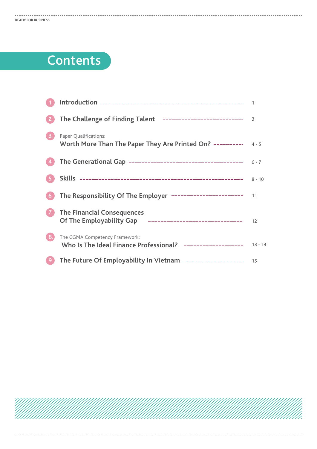## Contents

|    | The Challenge of Finding Talent --------------------------                                                                                                    | $\overline{3}$ |
|----|---------------------------------------------------------------------------------------------------------------------------------------------------------------|----------------|
|    | <b>Paper Qualifications:</b><br>Worth More Than The Paper They Are Printed On? ---------- 4-5                                                                 |                |
|    |                                                                                                                                                               | $6 - 7$        |
|    |                                                                                                                                                               | $8 - 10$       |
|    | The Responsibility Of The Employer -----------------------                                                                                                    | 11             |
|    | <b>The Financial Consequences</b><br>Of The Employability Gap <b>Francon Contract Contract Contract Contract Contract Contract Contract Contract Contract</b> |                |
| -8 | The CGMA Competency Framework:<br>Who Is The Ideal Finance Professional? ------------------- 13-14                                                            |                |
| 9. | The Future Of Employability In Vietnam -------------------- 15                                                                                                |                |

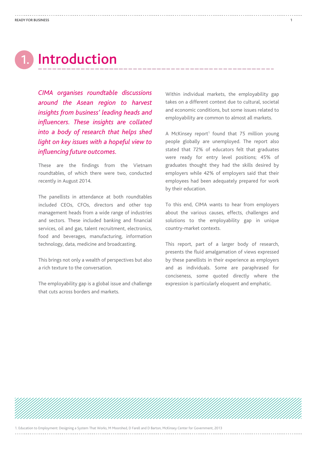1.

## Introduction

*CIMA organises roundtable discussions around the Asean region to harvest insights from business' leading heads and influencers. These insights are collated into a body of research that helps shed light on key issues with a hopeful view to influencing future outcomes.*

These are the findings from the Vietnam roundtables, of which there were two, conducted recently in August 2014.

The panellists in attendance at both roundtables included CEOs, CFOs, directors and other top management heads from a wide range of industries and sectors. These included banking and financial services, oil and gas, talent recruitment, electronics, food and beverages, manufacturing, information technology, data, medicine and broadcasting.

This brings not only a wealth of perspectives but also a rich texture to the conversation.

The employability gap is a global issue and challenge that cuts across borders and markets.

Within individual markets, the employability gap takes on a different context due to cultural, societal and economic conditions, but some issues related to employability are common to almost all markets.

A McKinsey report<sup>1</sup> found that 75 million young people globally are unemployed. The report also stated that 72% of educators felt that graduates were ready for entry level positions; 45% of graduates thought they had the skills desired by employers while 42% of employers said that their employees had been adequately prepared for work by their education.

To this end, CIMA wants to hear from employers about the various causes, effects, challenges and solutions to the employability gap in unique country-market contexts.

This report, part of a larger body of research, presents the fluid amalgamation of views expressed by these panellists in their experience as employers and as individuals. Some are paraphrased for conciseness, some quoted directly where the expression is particularly eloquent and emphatic.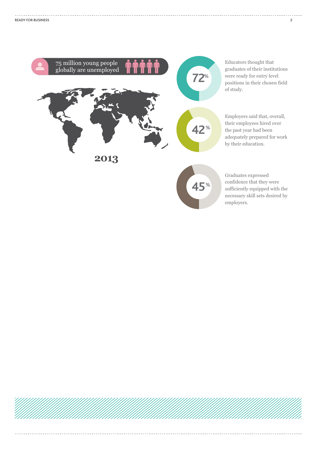

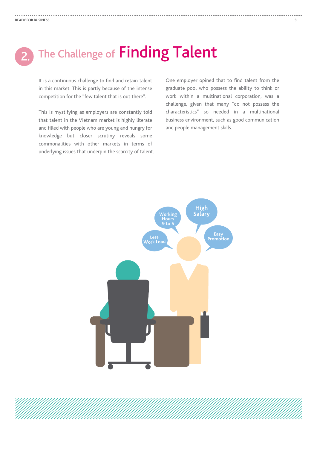

## The Challenge of Finding Talent

It is a continuous challenge to find and retain talent in this market. This is partly because of the intense competition for the "few talent that is out there".

This is mystifying as employers are constantly told that talent in the Vietnam market is highly literate and filled with people who are young and hungry for knowledge but closer scrutiny reveals some commonalities with other markets in terms of underlying issues that underpin the scarcity of talent. One employer opined that to find talent from the graduate pool who possess the ability to think or work within a multinational corporation, was a challenge, given that many "do not possess the characteristics" so needed in a multinational business environment, such as good communication and people management skills.



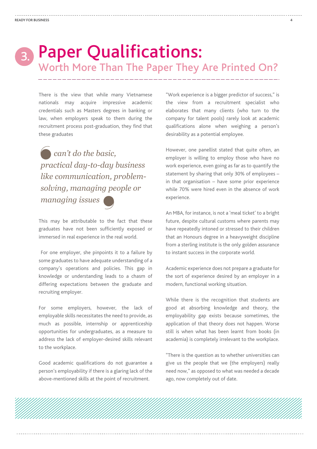# 3.

## Paper Qualifications: Worth More Than The Paper They Are Printed On?

There is the view that while many Vietnamese nationals may acquire impressive academic credentials such as Masters degrees in banking or law, when employers speak to them during the recruitment process post-graduation, they find that these graduates

**a** can't do the basic, *practical day-to-day business like communication, problemsolving, managing people or managing issues*

This may be attributable to the fact that these graduates have not been sufficiently exposed or immersed in real experience in the real world.

 For one employer, she pinpoints it to a failure by some graduates to have adequate understanding of a company's operations and policies. This gap in knowledge or understanding leads to a chasm of differing expectations between the graduate and recruiting employer.

For some employers, however, the lack of employable skills necessitates the need to provide, as much as possible, internship or apprenticeship opportunities for undergraduates, as a measure to address the lack of employer-desired skills relevant to the workplace.

Good academic qualifications do not guarantee a person's employability if there is a glaring lack of the above-mentioned skills at the point of recruitment.

"Work experience is a bigger predictor of success," is the view from a recruitment specialist who elaborates that many clients (who turn to the company for talent pools) rarely look at academic qualifications alone when weighing a person's desirability as a potential employee.

However, one panellist stated that quite often, an employer is willing to employ those who have no work experience, even going as far as to quantify the statement by sharing that only 30% of employees – in that organisation – have some prior experience while 70% were hired even in the absence of work experience.

An MBA, for instance, is not a 'meal ticket' to a bright future, despite cultural customs where parents may have repeatedly intoned or stressed to their children that an Honours degree in a heavyweight discipline from a sterling institute is the only golden assurance to instant success in the corporate world.

Academic experience does not prepare a graduate for the sort of experience desired by an employer in a modern, functional working situation.

While there is the recognition that students are good at absorbing knowledge and theory, the employability gap exists because sometimes, the application of that theory does not happen. Worse still is when what has been learnt from books (in academia) is completely irrelevant to the workplace.

"There is the question as to whether universities can give us the people that we (the employers) really need now," as opposed to what was needed a decade ago, now completely out of date.

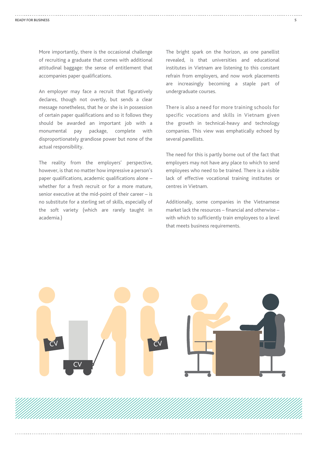More importantly, there is the occasional challenge of recruiting a graduate that comes with additional attitudinal baggage: the sense of entitlement that accompanies paper qualifications.

An employer may face a recruit that figuratively declares, though not overtly, but sends a clear message nonetheless, that he or she is in possession of certain paper qualifications and so it follows they should be awarded an important job with a monumental pay package, complete with disproportionately grandiose power but none of the actual responsibility.

The reality from the employers' perspective, however, is that no matter how impressive a person's paper qualifications, academic qualifications alone – whether for a fresh recruit or for a more mature, senior executive at the mid-point of their career – is no substitute for a sterling set of skills, especially of the soft variety (which are rarely taught in academia.)

The bright spark on the horizon, as one panellist revealed, is that universities and educational institutes in Vietnam are listening to this constant refrain from employers, and now work placements are increasingly becoming a staple part of undergraduate courses.

There is also a need for more training schools for specific vocations and skills in Vietnam given the growth in technical-heavy and technology companies. This view was emphatically echoed by several panellists.

The need for this is partly borne out of the fact that employers may not have any place to which to send employees who need to be trained. There is a visible lack of effective vocational training institutes or centres in Vietnam.

Additionally, some companies in the Vietnamese market lack the resources – financial and otherwise – with which to sufficiently train employees to a level that meets business requirements.

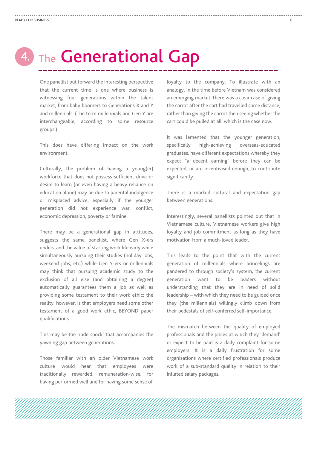# The Generational Gap

One panellist put forward the interesting perspective that the current time is one where business is witnessing four generations within the talent market, from baby boomers to Generations X and Y and millennials. (The term millennials and Gen Y are interchangeable, according to some resource groups.)

This does have differing impact on the work environment.

Culturally, the problem of having a young(er) workforce that does not possess sufficient drive or desire to learn (or even having a heavy reliance on education alone) may be due to parental indulgence or misplaced advice, especially if the younger generation did not experience war, conflict, economic depression, poverty or famine.

There may be a generational gap in attitudes, suggests the same panellist, where Gen X-ers understand the value of starting work life early while simultaneously pursuing their studies (holiday jobs, weekend jobs, etc.) while Gen Y-ers or millennials may think that pursuing academic study to the exclusion of all else (and obtaining a degree) automatically guarantees them a job as well as providing some testament to their work ethic; the reality, however, is that employers need some other testament of a good work ethic, BEYOND paper qualifications.

This may be the 'rude shock' that accompanies the yawning gap between generations.

Those familiar with an older Vietnamese work culture would hear that employees were traditionally rewarded, remuneration-wise, for having performed well and for having some sense of

loyalty to the company. To illustrate with an analogy, in the time before Vietnam was considered an emerging market, there was a clear case of giving the carrot after the cart had travelled some distance, rather than giving the carrot then seeing whether the cart could be pulled at all, which is the case now.

It was lamented that the younger generation, specifically high-achieving overseas-educated graduates, have different expectations whereby they expect "a decent earning" before they can be expected, or are incentivised enough, to contribute significantly.

There is a marked cultural and expectation gap between generations.

Interestingly, several panellists pointed out that in Vietnamese culture, Vietnamese workers give high loyalty and job commitment as long as they have motivation from a much-loved leader.

This leads to the point that with the current generation of millennials where princelings are pandered to through society's system, the current generation want to be leaders without understanding that they are in need of solid leadership – with which they need to be guided once they (the millennials) willingly climb down from their pedestals of self-conferred self-importance.

The mismatch between the quality of employed professionals and the prices at which they 'demand' or expect to be paid is a daily complaint for some employers. It is a daily frustration for some organisations where certified professionals produce work of a sub-standard quality in relation to their inflated salary packages.

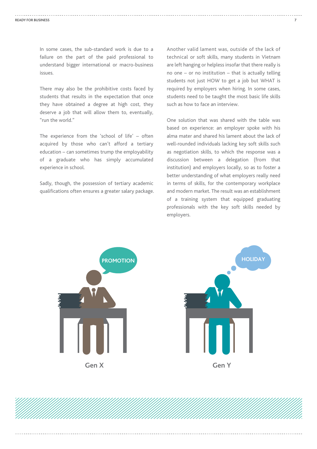In some cases, the sub-standard work is due to a failure on the part of the paid professional to understand bigger international or macro-business issues.

There may also be the prohibitive costs faced by students that results in the expectation that once they have obtained a degree at high cost, they deserve a job that will allow them to, eventually, "run the world."

The experience from the 'school of life' – often acquired by those who can't afford a tertiary education – can sometimes trump the employability of a graduate who has simply accumulated experience in school.

Sadly, though, the possession of tertiary academic qualifications often ensures a greater salary package. Another valid lament was, outside of the lack of technical or soft skills, many students in Vietnam are left hanging or helpless insofar that there really is no one  $-$  or no institution  $-$  that is actually telling students not just HOW to get a job but WHAT is required by employers when hiring. In some cases, students need to be taught the most basic life skills such as how to face an interview.

One solution that was shared with the table was based on experience: an employer spoke with his alma mater and shared his lament about the lack of well-rounded individuals lacking key soft skills such as negotiation skills, to which the response was a discussion between a delegation (from that institution) and employers locally, so as to foster a better understanding of what employers really need in terms of skills, for the contemporary workplace and modern market. The result was an establishment of a training system that equipped graduating professionals with the key soft skills needed by employers.





**Gen X Gen Y**

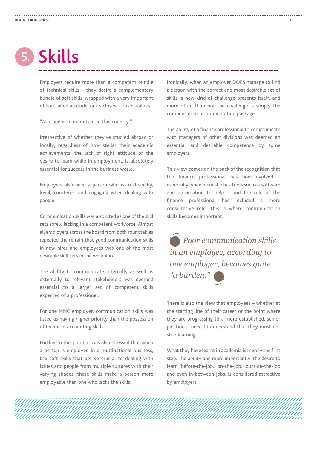# **Skills**

Employers require more than a competent bundle of technical skills – they desire a complementary bundle of soft skills, wrapped with a very important ribbon called attitude, or its closest cousin, values.

"Attitude is so important in this country."

Irrespective of whether they've studied abroad or locally, regardless of how stellar their academic achievements, the lack of right attitude or the desire to learn while in employment, is absolutely essential for success in the business world.

Employers also need a person who is trustworthy, loyal, courteous and engaging when dealing with people.

Communication skills was also cited as one of the skill sets sorely lacking in a competent workforce. Almost all employers across the board from both roundtables repeated the refrain that good communication skills in new hires and employees was one of the most desirable skill sets in the workplace.

The ability to communicate internally as well as externally to relevant stakeholders was deemed essential to a larger set of competent skills expected of a professional.

For one MNC employer, communication skills was listed as having higher priority than the possession of technical accounting skills.

Further to this point, it was also stressed that when a person is employed in a multinational business, the soft skills that are so crucial to dealing with issues and people from multiple cultures with their varying shades: these skills make a person more employable than one who lacks the skills.

Ironically, when an employer DOES manage to find a person with the correct and most desirable set of skills, a new kind of challenge presents itself, and more often than not the challenge is simply the compensation or remuneration package.

The ability of a finance professional to communicate with managers of other divisions was deemed an essential and desirable competence by some employers.

This view comes on the back of the recognition that the finance professional has now evolved – especially when he or she has tools such as software and automation to help  $-$  and the role of the finance professional has included a more consultative role. This is where communication skills becomes important.

 *Poor communication skills in an employee, according to one employer, becomes quite "a burden."*

There is also the view that employees – whether at the starting line of their career or the point where they are progressing to a more established, senior position – need to understand that they must not stop learning.

What they have learnt in academia is merely the first step. The ability and more importantly, the desire to learn before-the-job, on-the-job, outside-the-job and even in-between-jobs, is considered attractive by employers.

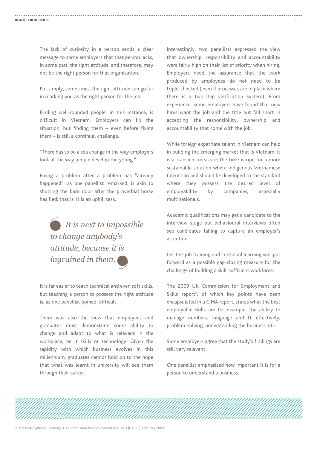The lack of curiosity in a person sends a clear message to some employers that that person lacks, in some part, the right attitude, and therefore, may not be the right person for that organisation.

Put simply, sometimes, the right attitude can go far in marking you as the right person for the job.

Finding well-rounded people, in this instance, is difficult in Vietnam. Employers can fix the situation, but finding them – even before fixing them – is still a continual challenge.

"There has to be a sea change in the way employers look at the way people develop the young."

Fixing a problem after a problem has "already happened", as one panellist remarked, is akin to shutting the barn door after the proverbial horse has fled; that is, it is an uphill task.

 *It is next to impossible to change anybody's attitude, because it is ingrained in them.*

It is far easier to teach technical and even soft skills, but teaching a person to possess the right attitude is, as one panellist opined, difficult.

There was also the view that employees and graduates must demonstrate some ability to change and adapt to what is relevant in the workplace, be it skills or technology. Given the rapidity with which business evolves in this millennium, graduates cannot hold on to the hope that what was learnt in university will see them through their career.

Interestingly, two panellists expressed the view that ownership, responsibility and accountability were fairly high on their list of priority when hiring. Employers need the assurance that the work produced by employees do not need to be triple-checked (even if processes are in place where there is a two-step verification system). From experience, some employers have found that new hires want the job and the title but fall short in accepting the responsibility, ownership and accountability that come with the job.

While foreign expatriate talent in Vietnam can help in building the emerging market that is Vietnam, it is a transient measure; the time is ripe for a more sustainable solution where indigenous Vietnamese talent can and should be developed to the standard where they possess the desired level of employability by companies, especially multinationals.

Academic qualifications may get a candidate to the interview stage but behavioural interviews often see candidates failing to capture an employer's attention.

On-the-job training and continual learning was put forward as a possible gap-closing measure for the challenge of building a skill-sufficient workforce.

The 2009 UK Commission for Employment and Skills report<sup>2</sup>, of which key points have been encapsulated in a CIMA report, states what the best employable skills are for example, the ability to manage numbers, language and IT effectively, problem-solving, understanding the business, etc.

Some employers agree that the study's findings are still very relevant.

One panellist emphasised how important it is for a person to understand a business.

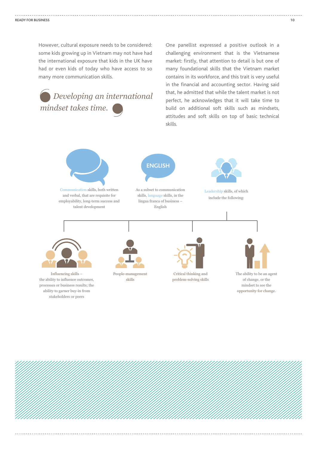However, cultural exposure needs to be considered: some kids growing up in Vietnam may not have had the international exposure that kids in the UK have had or even kids of today who have access to so many more communication skills.

### *Developing an international mindset takes time.*

One panellist expressed a positive outlook in a challenging environment that is the Vietnamese market: firstly, that attention to detail is but one of many foundational skills that the Vietnam market contains in its workforce, and this trait is very useful in the financial and accounting sector. Having said that, he admitted that while the talent market is not perfect, he acknowledges that it will take time to build on additional soft skills such as mindsets, attitudes and soft skills on top of basic technical skills.



the ability to influence outcomes, processes or business results; the ability to garner buy-in from

stakeholders or peers



mindset to see the opportunity for change.

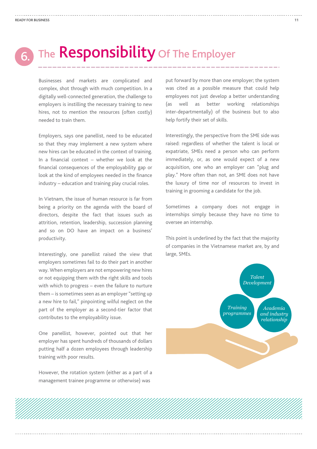## 6. The Responsibility of The Employer

Businesses and markets are complicated and complex, shot through with much competition. In a digitally well-connected generation, the challenge to employers is instilling the necessary training to new hires, not to mention the resources (often costly) needed to train them.

Employers, says one panellist, need to be educated so that they may implement a new system where new hires can be educated in the context of training. In a financial context – whether we look at the financial consequences of the employability gap or look at the kind of employees needed in the finance industry – education and training play crucial roles.

In Vietnam, the issue of human resource is far from being a priority on the agenda with the board of directors, despite the fact that issues such as attrition, retention, leadership, succession planning and so on DO have an impact on a business' productivity.

Interestingly, one panellist raised the view that employers sometimes fail to do their part in another way. When employers are not empowering new hires or not equipping them with the right skills and tools with which to progress – even the failure to nurture them – is sometimes seen as an employer "setting up a new hire to fail," pinpointing wilful neglect on the part of the employer as a second-tier factor that contributes to the employability issue.

One panellist, however, pointed out that her employer has spent hundreds of thousands of dollars putting half a dozen employees through leadership training with poor results.

However, the rotation system (either as a part of a management trainee programme or otherwise) was

put forward by more than one employer; the system was cited as a possible measure that could help employees not just develop a better understanding (as well as better working relationships inter-departmentally) of the business but to also help fortify their set of skills.

Interestingly, the perspective from the SME side was raised: regardless of whether the talent is local or expatriate, SMEs need a person who can perform immediately, or, as one would expect of a new acquisition, one who an employer can "plug and play." More often than not, an SME does not have the luxury of time nor of resources to invest in training in grooming a candidate for the job.

Sometimes a company does not engage in internships simply because they have no time to oversee an internship.

This point is underlined by the fact that the majority of companies in the Vietnamese market are, by and large, SMEs.

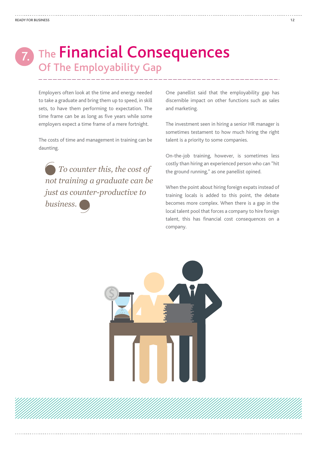#### The Financial Consequences Of The Employability Gap 7.

Employers often look at the time and energy needed to take a graduate and bring them up to speed, in skill sets, to have them performing to expectation. The time frame can be as long as five years while some employers expect a time frame of a mere fortnight.

The costs of time and management in training can be daunting.

 *To counter this, the cost of not training a graduate can be just as counter-productive to business.*

One panellist said that the employability gap has discernible impact on other functions such as sales and marketing.

The investment seen in hiring a senior HR manager is sometimes testament to how much hiring the right talent is a priority to some companies.

On-the-job training, however, is sometimes less costly than hiring an experienced person who can "hit the ground running," as one panellist opined.

When the point about hiring foreign expats instead of training locals is added to this point, the debate becomes more complex. When there is a gap in the local talent pool that forces a company to hire foreign talent, this has financial cost consequences on a company.

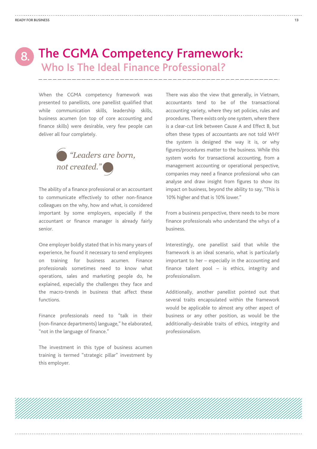

### The CGMA Competency Framework: Who Is The Ideal Finance Professional?

When the CGMA competency framework was presented to panellists, one panellist qualified that while communication skills, leadership skills, business acumen (on top of core accounting and finance skills) were desirable, very few people can deliver all four completely.



The ability of a finance professional or an accountant to communicate effectively to other non-finance colleagues on the why, how and what, is considered important by some employers, especially if the accountant or finance manager is already fairly senior.

One employer boldly stated that in his many years of experience, he found it necessary to send employees on training for business acumen. Finance professionals sometimes need to know what operations, sales and marketing people do, he explained, especially the challenges they face and the macro-trends in business that affect these functions.

Finance professionals need to "talk in their (non-finance departments) language," he elaborated, "not in the language of finance."

The investment in this type of business acumen training is termed "strategic pillar" investment by this employer.

There was also the view that generally, in Vietnam, accountants tend to be of the transactional accounting variety, where they set policies, rules and procedures. There exists only one system, where there is a clear-cut link between Cause A and Effect B, but often these types of accountants are not told WHY the system is designed the way it is, or why figures/procedures matter to the business. While this system works for transactional accounting, from a management accounting or operational perspective, companies may need a finance professional who can analyse and draw insight from figures to show its impact on business, beyond the ability to say, "This is 10% higher and that is 10% lower."

From a business perspective, there needs to be more finance professionals who understand the whys of a business.

Interestingly, one panellist said that while the framework is an ideal scenario, what is particularly important to her – especially in the accounting and finance talent pool – is ethics, integrity and professionalism.

Additionally, another panellist pointed out that several traits encapsulated within the framework would be applicable to almost any other aspect of business or any other position, as would be the additionally-desirable traits of ethics, integrity and professionalism.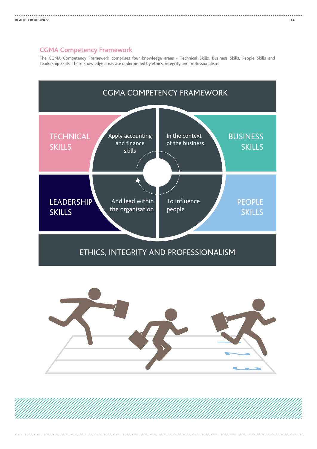#### **CGMA Competency Framework**

The CGMA Competency Framework comprises four knowledge areas - Technical Skills, Business Skills, People Skills and Leadership Skills. These knowledge areas are underpinned by ethics, integrity and professionalism.





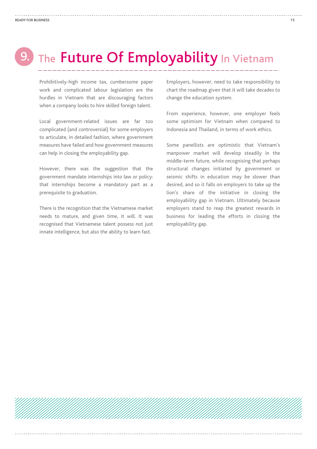## The Future Of Employability In Vietnam

Prohibitively-high income tax, cumbersome paper work and complicated labour legislation are the hurdles in Vietnam that are discouraging factors when a company looks to hire skilled foreign talent.

Local government-related issues are far too complicated (and controversial) for some employers to articulate, in detailed fashion, where government measures have failed and how government measures can help in closing the employability gap.

However, there was the suggestion that the government mandate internships into law or policy: that internships become a mandatory part as a prerequisite to graduation.

There is the recognition that the Vietnamese market needs to mature, and given time, it will. It was recognised that Vietnamese talent possess not just innate intelligence, but also the ability to learn fast.

Employers, however, need to take responsibility to chart the roadmap given that it will take decades to change the education system.

From experience, however, one employer feels some optimism for Vietnam when compared to Indonesia and Thailand, in terms of work ethics.

Some panellists are optimistic that Vietnam's manpower market will develop steadily in the middle-term future, while recognising that perhaps structural changes initiated by government or seismic shifts in education may be slower than desired, and so it falls on employers to take up the lion's share of the initiative in closing the employability gap in Vietnam. Ultimately because employers stand to reap the greatest rewards in business for leading the efforts in closing the employability gap.

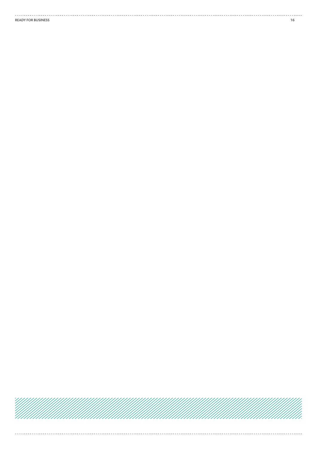. . . . . . . . . . . . .  $\cdot$  -  $\cdot$ . . . . .

**READY FOR BUSINESS** 16